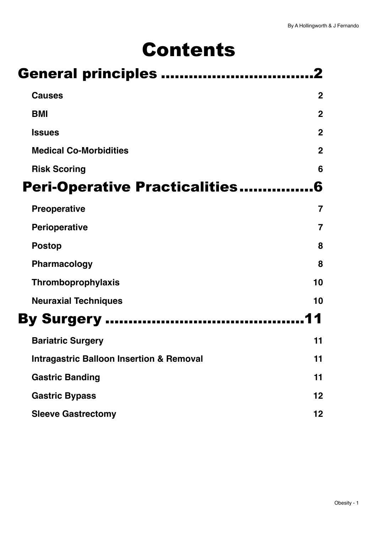# Contents

| <b>General principles </b>                          |                |  |
|-----------------------------------------------------|----------------|--|
| <b>Causes</b>                                       | $\mathbf 2$    |  |
| <b>BMI</b>                                          | $\mathbf{2}$   |  |
| <b>Issues</b>                                       | $\mathbf{2}$   |  |
| <b>Medical Co-Morbidities</b>                       | $\overline{2}$ |  |
| <b>Risk Scoring</b>                                 | 6              |  |
| <b>Peri-Operative Practicalities</b>                | 6              |  |
| <b>Preoperative</b>                                 | 7              |  |
| <b>Perioperative</b>                                | $\overline{7}$ |  |
| <b>Postop</b>                                       | 8              |  |
| Pharmacology                                        | 8              |  |
| Thromboprophylaxis                                  | 10             |  |
| <b>Neuraxial Techniques</b>                         | 10             |  |
| <b>By Surgery </b>                                  |                |  |
| <b>Bariatric Surgery</b>                            | 11             |  |
| <b>Intragastric Balloon Insertion &amp; Removal</b> | 11             |  |
| <b>Gastric Banding</b>                              | 11             |  |
| <b>Gastric Bypass</b>                               | 12             |  |
| <b>Sleeve Gastrectomy</b>                           | 12             |  |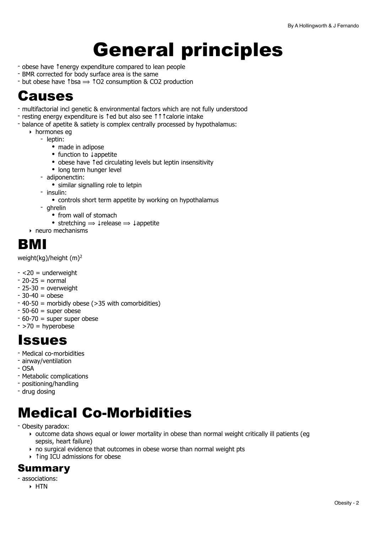# <span id="page-1-0"></span>General principles

- obese have ↑energy expenditure compared to lean people
- BMR corrected for body surface area is the same
- $\cdot$  but obese have thsa  $\Rightarrow$  102 consumption & CO2 production

### <span id="page-1-1"></span>Causes

- multifactorial incl genetic & environmental factors which are not fully understood
- resting energy expenditure is ↑ed but also see ↑↑↑calorie intake
- balance of apetite & satiety is complex centrally processed by hypothalamus:
	- ‣ hormones eg
		- leptin:
			- made in adipose
			- function to ↓appetite
			- obese have ↑ed circulating levels but leptin insensitivity
			- long term hunger level
		- adiponenctin:
			- similar signalling role to letpin
		- insulin:
			- controls short term appetite by working on hypothalamus
		- ghrelin
			- from wall of stomach
			- stretching  $\Rightarrow \downarrow$  release  $\Rightarrow \downarrow$  appetite
	- ‣ neuro mechanisms

### <span id="page-1-2"></span>BMI

weight(kg)/height (m)2

- $<$  20 = underweight
- $-20-25 = normal$
- $-25-30 =$  overweight
- $-30-40 =$  obese
- 40-50 = morbidly obese (>35 with comorbidities)
- $-50-60$  = super obese
- $-60-70$  = super super obese
- $-$  >70 = hyperobese

### <span id="page-1-3"></span>Issues

- Medical co-morbidities
- airway/ventilation
- OSA
- Metabolic complications
- positioning/handling
- drug dosing

# <span id="page-1-4"></span>Medical Co-Morbidities

- Obesity paradox:
	- ‣ outcome data shows equal or lower mortality in obese than normal weight critically ill patients (eg sepsis, heart failure)
	- ‣ no surgical evidence that outcomes in obese worse than normal weight pts
	- ‣ ↑ing ICU admissions for obese

### Summary

- associations:
	- ‣ HTN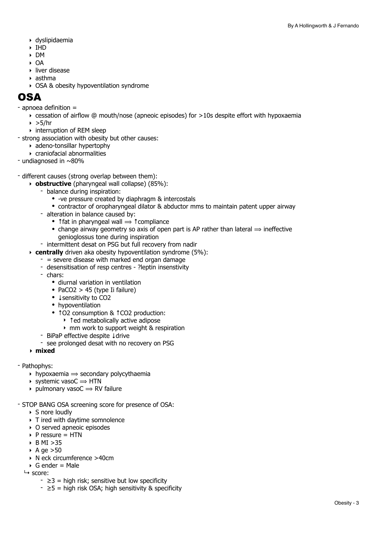- ‣ dyslipidaemia
- ‣ IHD
- ‣ DM
- ‣ OA
- ‣ liver disease
- ‣ asthma
- ‣ OSA & obesity hypoventilation syndrome

### OSA

- apnoea definition =
	- $\rightarrow$  cessation of airflow @ mouth/nose (apneoic episodes) for >10s despite effort with hypoxaemia
	- $\rightarrow$  >5/hr
	- ‣ interruption of REM sleep
- strong association with obesity but other causes:
	- ‣ adeno-tonsillar hypertophy
	- ‣ craniofacial abnormalities
- undiagnosed in ~80%
- different causes (strong overlap between them):
	- ‣ **obstructive** (pharyngeal wall collapse) (85%):
		- balance during inspiration:
			- -ve pressure created by diaphragm & intercostals
			- contractor of oropharyngeal dilator & abductor mms to maintain patent upper airway
		- alteration in balance caused by:
			- Trat in pharyngeal wall  $\Rightarrow$   $\uparrow$  compliance
			- change airway geometry so axis of open part is AP rather than lateral  $\Rightarrow$  ineffective genioglossus tone during inspiration
		- intermittent desat on PSG but full recovery from nadir
	- ‣ **centrally** driven aka obesity hypoventilation syndrome (5%):
		- $-$  = severe disease with marked end organ damage
		- desensitisation of resp centres ?leptin insenstivity
		- chars:
			- diurnal variation in ventilation
			- PaCO2 > 45 (type Ii failure)
			- ↓sensitivity to CO2
			- hypoventilation
			- ↑O2 consumption & ↑CO2 production:
				- ‣ ↑ed metabolically active adipose
				- ‣ mm work to support weight & respiration
		- BiPaP effective despite ↓drive
		- see prolonged desat with no recovery on PSG

#### **‣ mixed**

- Pathophys:
	- $\rightarrow$  hypoxaemia  $\rightarrow$  secondary polycythaemia
	- $\rightarrow$  systemic vasoC  $\rightarrow$  HTN
	- $\rightarrow$  pulmonary vasoC  $\rightarrow$  RV failure
- STOP BANG OSA screening score for presence of OSA:
	- ▶ S nore loudly
	- ‣ T ired with daytime somnolence
	- ‣ O served apneoic episodes
	- $\triangleright$  P ressure = HTN
	- $\triangleright$  B MI  $>35$
	- $\triangleright$  A ge  $>50$
	- ‣ N eck circumference >40cm
	- $\triangleright$  G ender = Male
	- $ightharpoonup$  score:
		- $\geq 3$  = high risk; sensitive but low specificity
		- $\ge 5$  = high risk OSA; high sensitivity & specificity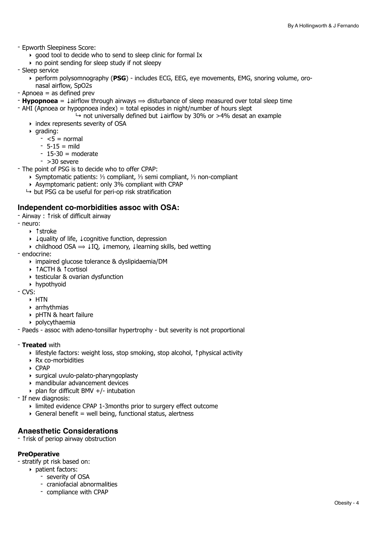- Epworth Sleepiness Score:
	- ‣ good tool to decide who to send to sleep clinic for formal Ix
	- $\rightarrow$  no point sending for sleep study if not sleepy
- Sleep service
	- ‣ perform polysomnography (**PSG**) includes ECG, EEG, eye movements, EMG, snoring volume, oronasal airflow, SpO2s
- Apnoea = as defined prev
- $\mathbf{F}$  **Hypopnoea** =  $\downarrow$  airflow through airways  $\Rightarrow$  disturbance of sleep measured over total sleep time
- $-$  AHI (Apnoea or hypopnoea index) = total episodes in night/number of hours slept
	- $\rightarrow$  not universally defined but ↓airflow by 30% or >4% desat an example
	- ‣ index represents severity of OSA
	- $\rightarrow$  grading:
		- $< 5 =$  normal
		- $-5-15 =$  mild
		- $-15-30$  = moderate
		- $-$  >30 severe
- The point of PSG is to decide who to offer CPAP:
	- ‣ Symptomatic patients: ⅓ compliant, ⅓ semi compliant, ⅓ non-compliant
	- ‣ Asymptomaric patient: only 3% compliant with CPAP
	- $\mapsto$  but PSG ca be useful for peri-op risk stratification

#### **Independent co-morbidities assoc with OSA:**

- Airway : ↑risk of difficult airway
- neuro:
	- ‣ ↑stroke
	- ‣ ↓quality of life, ↓cognitive function, depression
	- $\rightarrow$  childhood OSA  $\rightarrow$  ↓IQ, ↓memory, ↓learning skills, bed wetting
- endocrine:
	- ‣ impaired glucose tolerance & dyslipidaemia/DM
	- ‣ ↑ACTH & ↑cortisol
	- ‣ testicular & ovarian dysfunction
	- ‣ hypothyoid
- CVS:
	- ‣ HTN
	- ‣ arrhythmias
	- ‣ pHTN & heart failure
	- ‣ polycythaemia
- Paeds assoc with adeno-tonsillar hypertrophy but severity is not proportional

#### - **Treated** with

- ‣ lifestyle factors: weight loss, stop smoking, stop alcohol, ↑physical activity
- ‣ Rx co-morbidities
- ‣ CPAP
- ‣ surgical uvulo-palato-pharyngoplasty
- ‣ mandibular advancement devices
- $\rightarrow$  plan for difficult BMV +/- intubation
- If new diagnosis:
	- ‣ limited evidence CPAP 1-3months prior to surgery effect outcome
	- $\rightarrow$  General benefit = well being, functional status, alertness

#### **Anaesthetic Considerations**

- ↑risk of periop airway obstruction

#### **PreOperative**

- stratify pt risk based on:
	- ‣ patient factors:
		- severity of OSA
		- craniofacial abnormalities
		- compliance with CPAP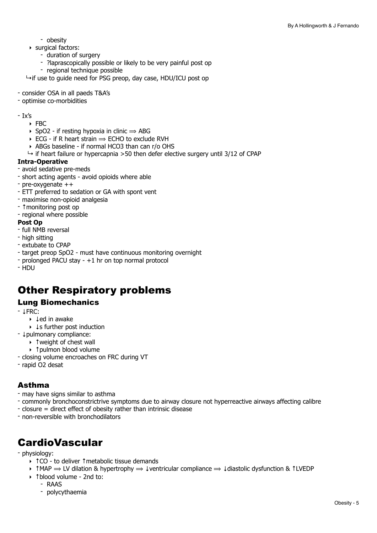- obesity
- ‣ surgical factors:
	- duration of surgery
	- ?laprascopically possible or likely to be very painful post op
	- regional technique possible

 $\rightarrow$  if use to guide need for PSG preop, day case, HDU/ICU post op

- consider OSA in all paeds T&A's
- optimise co-morbidities
- Ix's
	- $\triangleright$  FRC
	- ▶ SpO2 if resting hypoxia in clinic  $\Rightarrow$  ABG
	- $\triangleright$  ECG if R heart strain  $\Rightarrow$  ECHO to exclude RVH
	- ‣ ABGs baseline if normal HCO3 than can r/o OHS
	- $\rightarrow$  if heart failure or hypercapnia >50 then defer elective surgery until 3/12 of CPAP

#### **Intra-Operative**

- avoid sedative pre-meds
- short acting agents avoid opioids where able
- pre-oxygenate ++
- ETT preferred to sedation or GA with spont vent
- maximise non-opioid analgesia
- ↑monitoring post op
- regional where possible

#### **Post Op**

- full NMB reversal
- high sitting
- extubate to CPAP
- target preop SpO2 must have continuous monitoring overnight
- prolonged PACU stay +1 hr on top normal protocol
- HDU

### Other Respiratory problems

#### Lung Biomechanics

- $|FRC$ 
	- ‣ ↓ed in awake
	- ‣ ↓s further post induction
- ↓pulmonary compliance:
	- ‣ ↑weight of chest wall
	- ‣ ↑pulmon blood volume
- closing volume encroaches on FRC during VT
- rapid O2 desat

#### Asthma

- may have signs similar to asthma
- commonly bronchoconstrictrive symptoms due to airway closure not hyperreactive airways affecting calibre
- closure = direct effect of obesity rather than intrinsic disease
- non-reversible with bronchodilators

### **CardioVascular**

#### - physiology:

- ‣ ↑CO to deliver ↑metabolic tissue demands
- ‣ ↑MAP ⟹ LV dilation & hypertrophy ⟹ ↓ventricular compliance ⟹ ↓diastolic dysfunction & ↑LVEDP
- ‣ ↑blood volume 2nd to:
	- RAAS
		- polycythaemia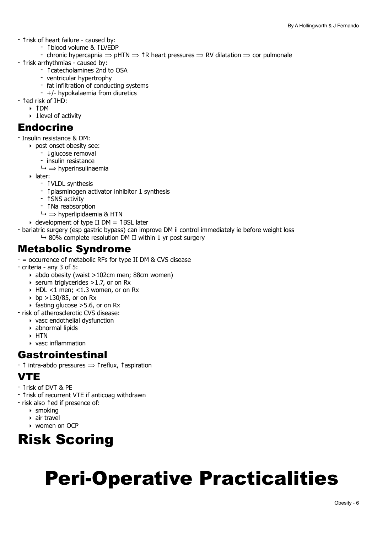- ↑risk of heart failure caused by:
	- ↑blood volume & ↑LVEDP
- chronic hypercapnia  $\Rightarrow$  pHTN  $\Rightarrow$  1R heart pressures  $\Rightarrow$  RV dilatation  $\Rightarrow$  cor pulmonale
- ↑risk arrhythmias caused by:
	- ↑catecholamines 2nd to OSA
	- ventricular hypertrophy
	- fat infiltration of conducting systems
	- +/- hypokalaemia from diuretics
- ↑ed risk of IHD:
- ‣ ↑DM
	- ‣ ↓level of activity

### Endocrine

- Insulin resistance & DM:
	- ‣ post onset obesity see:
		- ↓glucose removal
		- insulin resistance
		- $\mapsto \Rightarrow$  hyperinsulinaemia
	- ‣ later:
		- ↑VLDL synthesis
		- ↑plasminogen activator inhibitor 1 synthesis
		- ↑SNS activity
		- ↑Na reabsorption
		- $\mapsto \Rightarrow$  hyperlipidaemia & HTN
	- ‣ development of type II DM = ↑BSL later
- bariatric surgery (esp gastric bypass) can improve DM ii control immediately ie before weight loss
	- $\rightarrow$  80% complete resolution DM II within 1 yr post surgery

### Metabolic Syndrome

- = occurrence of metabolic RFs for type II DM & CVS disease
- criteria any 3 of 5:
	- ‣ abdo obesity (waist >102cm men; 88cm women)
	- $\triangleright$  serum triglycerides >1.7, or on Rx
	- $\triangleright$  HDL <1 men; <1.3 women, or on Rx
	- bp >130/85, or on Rx
	- $\rightarrow$  fasting glucose  $>$  5.6, or on Rx
- risk of atherosclerotic CVS disease:
	- ‣ vasc endothelial dysfunction
	- ‣ abnormal lipids
	- ‣ HTN
	- ‣ vasc inflammation

### Gastrointestinal

- ↑ intra-abdo pressures ⟹ ↑reflux, ↑aspiration

### VTE

- ↑risk of DVT & PE
- ↑risk of recurrent VTE if anticoag withdrawn
- risk also ↑ed if presence of:
	- $\triangleright$  smoking
	- ‣ air travel
	- ‣ women on OCP

# <span id="page-5-0"></span>Risk Scoring

# <span id="page-5-1"></span>Peri-Operative Practicalities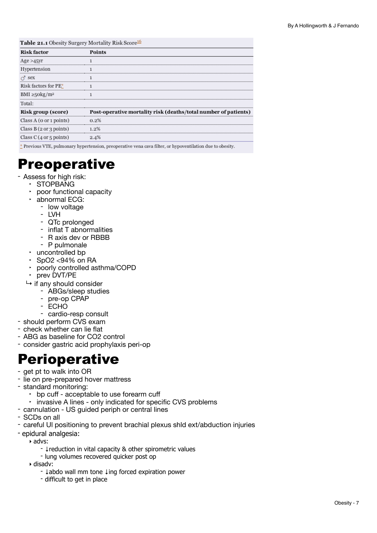| Table 21.1 Obesity Surgery Mortality Risk Score <sup>16</sup> |                                                                                                             |  |
|---------------------------------------------------------------|-------------------------------------------------------------------------------------------------------------|--|
| <b>Risk factor</b>                                            | <b>Points</b>                                                                                               |  |
| Age >45vr                                                     |                                                                                                             |  |
| Hypertension                                                  |                                                                                                             |  |
| $\sigma$ sex                                                  |                                                                                                             |  |
| Risk factors for PE*                                          |                                                                                                             |  |
| BMI $\geq$ 50kg/m <sup>2</sup>                                |                                                                                                             |  |
| Total:                                                        |                                                                                                             |  |
| Risk group (score)                                            | Post-operative mortality risk (deaths/total number of patients)                                             |  |
| Class $A$ (0 or 1 points)                                     | 0.2%                                                                                                        |  |
| Class $B(2 \text{ or } 3 \text{ points})$                     |                                                                                                             |  |
| Class $C(4 \text{ or } 5 \text{ points})$                     | 2.4%                                                                                                        |  |
|                                                               | $*$ Previous VTE, pulmonary hypertension, preoperative vena cava filter, or hypoventilation due to obesity. |  |

## <span id="page-6-0"></span>Preoperative

- Assess for high risk:
	- ‣ STOPBANG
	- ‣ poor functional capacity
	- ‣ abnormal ECG:
		- low voltage LVH
		-
		- QTc prolonged
		- inflat T abnormalities
		- R axis dev or RBBB<br>- P pulmonale
		-
	- ‣ uncontrolled bp
	- $\cdot$  SpO2 <94% on RA
	- ‣ poorly controlled asthma/COPD
	- ‣ prev DVT/PE
	- $\rightarrow$  if any should consider<br>- ABGs/sleep studies
		-
		- pre-op CPAP
		- ECHO
		- cardio-resp consult
- should perform CVS exam
- check whether can lie flat
- ABG as baseline for CO2 control
- consider gastric acid prophylaxis peri-op

### <span id="page-6-1"></span>**Perioperative**

- get pt to walk into OR
- lie on pre-prepared hover mattress
- standard monitoring:
	- ‣ bp cuff acceptable to use forearm cuff
	- ‣ invasive A lines only indicated for specific CVS problems
- cannulation US guided periph or central lines
- SCDs on all
- careful Ul positioning to prevent brachial plexus shld ext/abduction injuries
- epidural analgesia:
	- ‣ advs:
		- ↓reduction in vital capacity & other spirometric values
		- lung volumes recovered quicker post op

‣ disadv:

- ↓abdo wall mm tone ↓ing forced expiration power
- difficult to get in place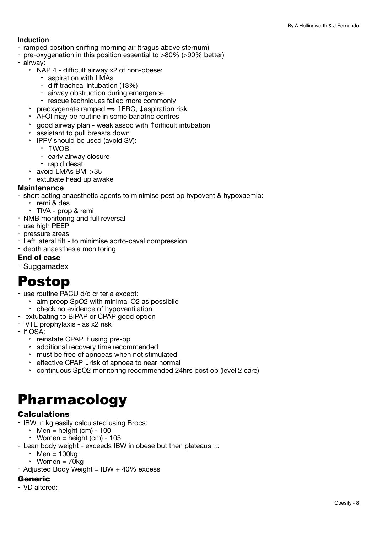#### **Induction**

- ramped position sniffing morning air (tragus above sternum)
- pre-oxygenation in this position essential to >80% (>90% better)
- airway:
	- ‣ NAP 4 difficult airway x2 of non-obese:
		- aspiration with LMAs
		- diff tracheal intubation (13%)
		- airway obstruction during emergence rescue techniques failed more commonly
		-
	- $\cdot$  preoxygenate ramped  $\Rightarrow$  ↑FRC, ↓aspiration risk
	- ‣ AFOI may be routine in some bariatric centres
	- ‣ good airway plan weak assoc with ↑difficult intubation
	- ‣ assistant to pull breasts down
	- ‣ IPPV should be used (avoid SV):
		-
		- ↑WOB<br>- early airway closure<br>- rapid desat
		-
	- ‣ avoid LMAs BMI >35
	- ‣ extubate head up awake

#### **Maintenance**

- short acting anaesthetic agents to minimise post op hypovent & hypoxaemia:
	- ‣ remi & des
	- ‣ TIVA prop & remi
- NMB monitoring and full reversal
- use high PEEP
- pressure areas
- Left lateral tilt to minimise aorto-caval compression
- depth anaesthesia monitoring

#### **End of case**

- Suggamadex

### <span id="page-7-0"></span>Postop

- use routine PACU d/c criteria except:
	- ‣ aim preop SpO2 with minimal O2 as possibile
- ‣ check no evidence of hypoventilation
- extubating to BiPAP or CPAP good option VTE prophylaxis as x2 risk
- 
- if OSA:
	- ‣ reinstate CPAP if using pre-op
	- ‣ additional recovery time recommended
	- ‣ must be free of apnoeas when not stimulated
	- ‣ effective CPAP ↓risk of apnoea to near normal
	- ‣ continuous SpO2 monitoring recommended 24hrs post op (level 2 care)

## <span id="page-7-1"></span>Pharmacology

#### **Calculations**

- IBW in kg easily calculated using Broca:
	- $\cdot$  Men = height (cm) 100
	- $\cdot$  Women = height (cm) 105
- Lean body weight exceeds IBW in obese but then plateaus ∴:
	- $\cdot$  Men = 100kg
	- Women  $= 70$ kg
- Adjusted Body Weight =  $IBW + 40\%$  excess

#### **Generic**

- VD altered: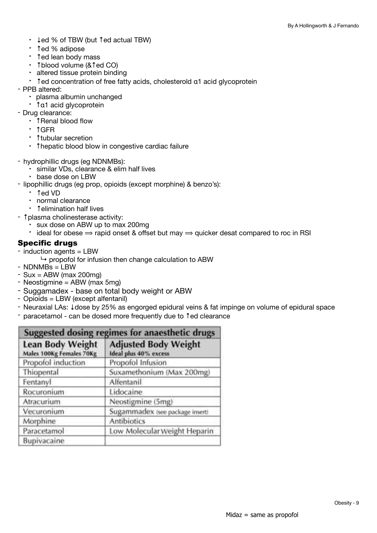- ‣ ↓ed % of TBW (but ↑ed actual TBW)
- ‣ ↑ed % adipose
- ‣ ↑ed lean body mass
- ‣ ↑blood volume (&↑ed CO)
- ‣ altered tissue protein binding
- <sup>+</sup> ↑ed concentration of free fatty acids, cholesterold  $a1$  acid glycoprotein PPB altered:
- - ‣ plasma albumin unchanged
- ‣ <sup>↑</sup>α1 acid glycoprotein Drug clearance:
- - ‣ ↑Renal blood flow
	- ‣ ↑GFR
	- ‣ ↑tubular secretion
	- ‣ ↑hepatic blood blow in congestive cardiac failure
- hydrophillic drugs (eg NDNMBs):
	- ‣ similar VDs, clearance & elim half lives
	-
- lipophillic drugs (eg prop, opioids (except morphine) & benzo's):
	- ‣ ↑ed VD
	- ‣ normal clearance
	- ‣ ↑elimination half lives
- ↑plasma cholinesterase activity:
	- ‣ sux dose on ABW up to max 200mg
	- $\cdot$  ideal for obese  $\Rightarrow$  rapid onset & offset but may  $\Rightarrow$  quicker desat compared to roc in RSI

#### Specific drugs

- induction agents = LBW

 $\rightarrow$  propofol for infusion then change calculation to ABW

- NDNMBs = LBW
- $-$  Sux = ABW (max 200mg)
- Neostigmine = ABW (max 5mg)
- Suggamadex base on total body weight or ABW
- Opioids = LBW (except alfentanil)
- Neuraxial LAs: ↓dose by 25% as engorged epidural veins & fat impinge on volume of epidural space
- paracetamol can be dosed more frequently due to ↑ed clearance

| Suggested dosing regimes for anaesthetic drugs      |                                                      |  |
|-----------------------------------------------------|------------------------------------------------------|--|
| <b>Lean Body Weight</b><br>Males 100Kg Females 70Kg | <b>Adjusted Body Weight</b><br>Ideal plus 40% excess |  |
| Propofol induction                                  | Propofol Infusion                                    |  |
| Thiopental                                          | Suxamethonium (Max 200mg)                            |  |
| Fentanyl                                            | Alfentanil                                           |  |
| Rocuronium                                          | Lidocaine                                            |  |
| Atracurium                                          | Neostigmine (5mg)                                    |  |
| Vecuronium                                          | Sugammadex (see package insert)                      |  |
| Morphine                                            | <b>Antibiotics</b>                                   |  |
| Paracetamol                                         | Low Molecular Weight Heparin                         |  |
| Bupivacaine                                         |                                                      |  |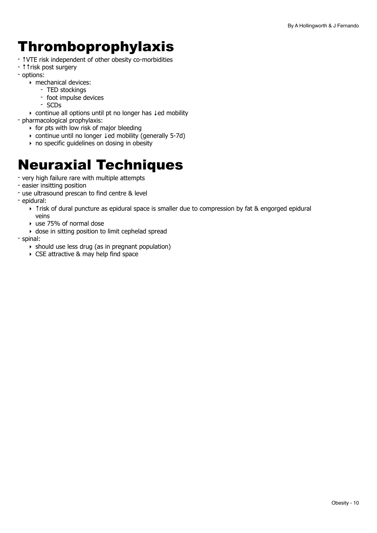# <span id="page-9-0"></span>Thromboprophylaxis

- ↑VTE risk independent of other obesity co-morbidities
- ↑↑risk post surgery
- options:
	- ‣ mechanical devices:
		- TED stockings
		- foot impulse devices
		- SCDs

‣ continue all options until pt no longer has ↓ed mobility

- pharmacological prophylaxis:

- ‣ for pts with low risk of major bleeding
- ‣ continue until no longer ↓ed mobility (generally 5-7d)
- $\rightarrow$  no specific quidelines on dosing in obesity

# <span id="page-9-1"></span>Neuraxial Techniques

- very high failure rare with multiple attempts
- easier insitting position
- use ultrasound prescan to find centre & level
- epidural:
	- ‣ ↑risk of dural puncture as epidural space is smaller due to compression by fat & engorged epidural veins
	- ‣ use 75% of normal dose
	- ‣ dose in sitting position to limit cephelad spread
- spinal:
	- $\rightarrow$  should use less drug (as in pregnant population)
	- ‣ CSE attractive & may help find space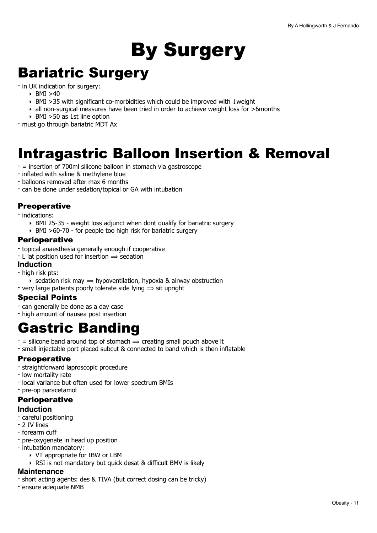# <span id="page-10-0"></span>By Surgery

# <span id="page-10-1"></span>Bariatric Surgery

- in UK indication for surgery:
	- ‣ BMI >40
	- ‣ BMI >35 with significant co-morbidities which could be improved with ↓weight
	- ‣ all non-surgical measures have been tried in order to achieve weight loss for >6months
	- ‣ BMI >50 as 1st line option

- must go through bariatric MDT Ax

# <span id="page-10-2"></span>Intragastric Balloon Insertion & Removal

- = insertion of 700ml silicone balloon in stomach via gastroscope
- inflated with saline & methylene blue
- balloons removed after max 6 months
- can be done under sedation/topical or GA with intubation

#### **Preoperative**

- indications:
	- ‣ BMI 25-35 weight loss adjunct when dont qualify for bariatric surgery
	- ‣ BMI >60-70 for people too high risk for bariatric surgery

#### **Perioperative**

- topical anaesthesia generally enough if cooperative
- $-$  L lat position used for insertion  $\Rightarrow$  sedation

#### **Induction**

- high risk pts:
	- $\rightarrow$  sedation risk may  $\rightarrow$  hypoventilation, hypoxia & airway obstruction
- very large patients poorly tolerate side lying  $\Rightarrow$  sit upright

#### Special Points

- can generally be done as a day case
- high amount of nausea post insertion

## <span id="page-10-3"></span>Gastric Banding

- $-$  = silicone band around top of stomach  $\Rightarrow$  creating small pouch above it
- small injectable port placed subcut & connected to band which is then inflatable

#### **Preoperative**

- straightforward laproscopic procedure
- low mortality rate
- local variance but often used for lower spectrum BMIs
- pre-op paracetamol

### **Perioperative**

#### **Induction**

- careful positioning
- 2 IV lines
- forearm cuff
- pre-oxygenate in head up position
- intubation mandatory:
	- ‣ VT appropriate for IBW or LBM
	- ‣ RSI is not mandatory but quick desat & difficult BMV is likely

#### **Maintenance**

- short acting agents: des & TIVA (but correct dosing can be tricky)
- ensure adequate NMB